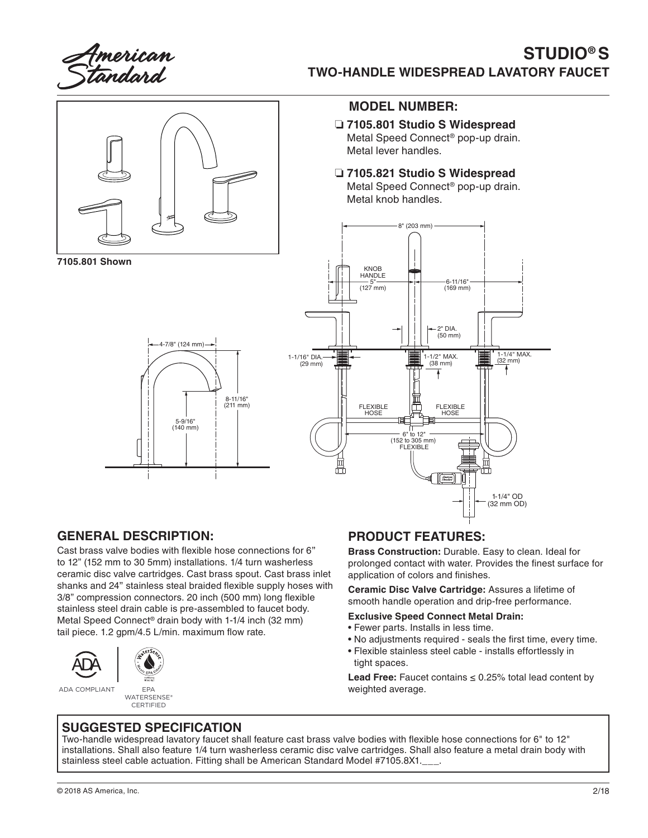American<br>I<del>a</del>ndard

# **STUDIO® S TWO-HANDLE WIDESPREAD LAVATORY FAUCET**



## **GENERAL DESCRIPTION:**

Cast brass valve bodies with flexible hose connections for 6" to 12" (152 mm to 30 5mm) installations. 1/4 turn washerless ceramic disc valve cartridges. Cast brass spout. Cast brass inlet shanks and 24" stainless steal braided flexible supply hoses with 3/8" compression connectors. 20 inch (500 mm) long flexible stainless steel drain cable is pre-assembled to faucet body. Metal Speed Connect® drain body with 1-1/4 inch (32 mm) tail piece. 1.2 gpm/4.5 L/min. maximum flow rate.





ADA COMPLIANT EPA

WATERSENSE® **CERTIFIED** 

## **PRODUCT FEATURES:**

**Brass Construction:** Durable. Easy to clean. Ideal for prolonged contact with water. Provides the finest surface for application of colors and finishes.

**Ceramic Disc Valve Cartridge:** Assures a lifetime of smooth handle operation and drip-free performance.

#### **Exclusive Speed Connect Metal Drain:**

- Fewer parts. Installs in less time.
- No adjustments required seals the first time, every time.
- Flexible stainless steel cable installs effortlessly in tight spaces.

**Lead Free:** Faucet contains  $\leq 0.25\%$  total lead content by weighted average.

### **SUGGESTED SPECIFICATION**

Two-handle widespread lavatory faucet shall feature cast brass valve bodies with flexible hose connections for 6" to 12" installations. Shall also feature 1/4 turn washerless ceramic disc valve cartridges. Shall also feature a metal drain body with stainless steel cable actuation. Fitting shall be American Standard Model #7105.8X1.\_\_\_.